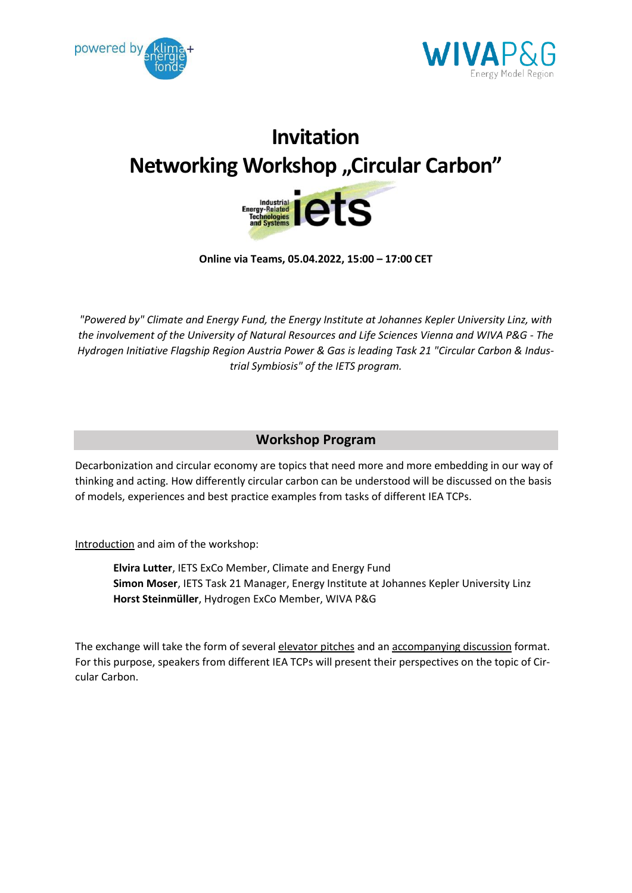



## **Invitation Networking Workshop "Circular Carbon"**



**Online via Teams, 05.04.2022, 15:00 – 17:00 CET** 

*"Powered by" Climate and Energy Fund, the Energy Institute at Johannes Kepler University Linz, with the involvement of the University of Natural Resources and Life Sciences Vienna and WIVA P&G - The Hydrogen Initiative Flagship Region Austria Power & Gas is leading Task 21 "Circular Carbon & Industrial Symbiosis" of the IETS program.*

## **Workshop Program**

Decarbonization and circular economy are topics that need more and more embedding in our way of thinking and acting. How differently circular carbon can be understood will be discussed on the basis of models, experiences and best practice examples from tasks of different IEA TCPs.

Introduction and aim of the workshop:

**Elvira Lutter**, IETS ExCo Member, Climate and Energy Fund **Simon Moser**, IETS Task 21 Manager, Energy Institute at Johannes Kepler University Linz **Horst Steinmüller**, Hydrogen ExCo Member, WIVA P&G

The exchange will take the form of several elevator pitches and an accompanying discussion format. For this purpose, speakers from different IEA TCPs will present their perspectives on the topic of Circular Carbon.